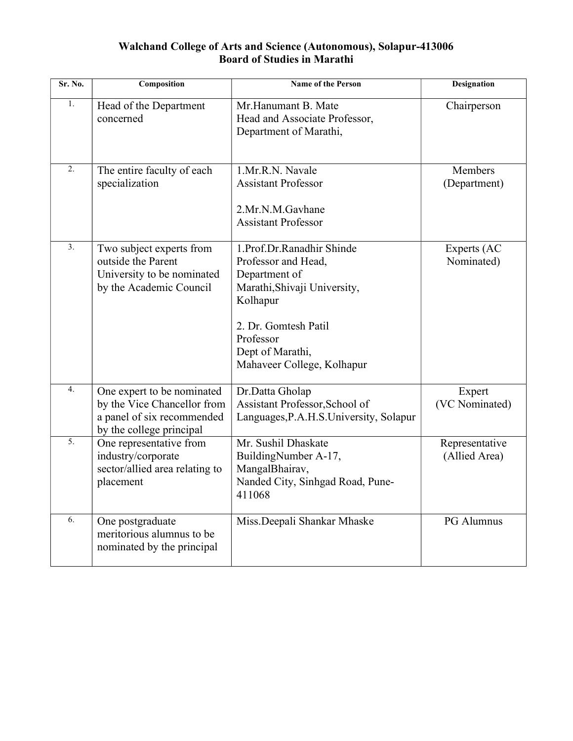### Walchand College of Arts and Science (Autonomous), Solapur-413006 Board of Studies in Marathi

| Sr. No.          | Composition                                                                                                         | <b>Name of the Person</b>                                                                                                                                                                            | <b>Designation</b>              |
|------------------|---------------------------------------------------------------------------------------------------------------------|------------------------------------------------------------------------------------------------------------------------------------------------------------------------------------------------------|---------------------------------|
| 1.               | Head of the Department<br>concerned                                                                                 | Mr.Hanumant B. Mate<br>Head and Associate Professor,<br>Department of Marathi,                                                                                                                       | Chairperson                     |
| 2.               | The entire faculty of each<br>specialization                                                                        | 1.Mr.R.N. Navale<br><b>Assistant Professor</b><br>2.Mr.N.M.Gavhane<br><b>Assistant Professor</b>                                                                                                     | Members<br>(Department)         |
| 3.               | Two subject experts from<br>outside the Parent<br>University to be nominated<br>by the Academic Council             | 1.Prof.Dr.Ranadhir Shinde<br>Professor and Head,<br>Department of<br>Marathi, Shivaji University,<br>Kolhapur<br>2. Dr. Gomtesh Patil<br>Professor<br>Dept of Marathi,<br>Mahaveer College, Kolhapur | Experts (AC<br>Nominated)       |
| 4.               | One expert to be nominated<br>by the Vice Chancellor from<br>a panel of six recommended<br>by the college principal | Dr.Datta Gholap<br>Assistant Professor, School of<br>Languages, P.A.H.S. University, Solapur                                                                                                         | Expert<br>(VC Nominated)        |
| $\overline{5}$ . | One representative from<br>industry/corporate<br>sector/allied area relating to<br>placement                        | Mr. Sushil Dhaskate<br>BuildingNumber A-17,<br>MangalBhairav,<br>Nanded City, Sinhgad Road, Pune-<br>411068                                                                                          | Representative<br>(Allied Area) |
| 6.               | One postgraduate<br>meritorious alumnus to be<br>nominated by the principal                                         | Miss.Deepali Shankar Mhaske                                                                                                                                                                          | PG Alumnus                      |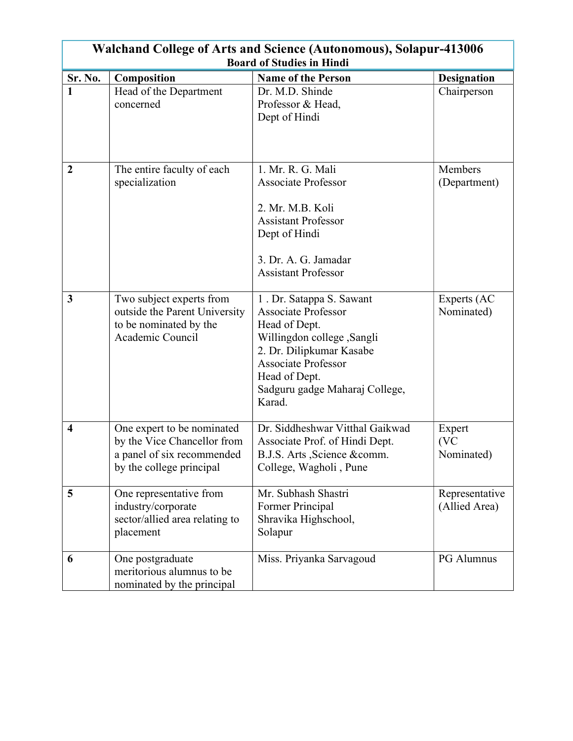| <b>Walchand College of Arts and Science (Autonomous), Solapur-413006</b> |                                |                                                    |                    |
|--------------------------------------------------------------------------|--------------------------------|----------------------------------------------------|--------------------|
|                                                                          |                                | <b>Board of Studies in Hindi</b>                   |                    |
| Sr. No.                                                                  | Composition                    | <b>Name of the Person</b>                          | <b>Designation</b> |
| $\mathbf{1}$                                                             | Head of the Department         | Dr. M.D. Shinde                                    | Chairperson        |
|                                                                          | concerned                      | Professor & Head,                                  |                    |
|                                                                          |                                | Dept of Hindi                                      |                    |
|                                                                          |                                |                                                    |                    |
|                                                                          |                                |                                                    |                    |
| $\boldsymbol{2}$                                                         | The entire faculty of each     | 1. Mr. R. G. Mali                                  | Members            |
|                                                                          | specialization                 | <b>Associate Professor</b>                         | (Department)       |
|                                                                          |                                |                                                    |                    |
|                                                                          |                                | 2. Mr. M.B. Koli                                   |                    |
|                                                                          |                                | <b>Assistant Professor</b>                         |                    |
|                                                                          |                                | Dept of Hindi                                      |                    |
|                                                                          |                                |                                                    |                    |
|                                                                          |                                | 3. Dr. A. G. Jamadar<br><b>Assistant Professor</b> |                    |
|                                                                          |                                |                                                    |                    |
| $\mathbf{3}$                                                             | Two subject experts from       | 1. Dr. Satappa S. Sawant                           | Experts (AC        |
|                                                                          | outside the Parent University  | <b>Associate Professor</b>                         | Nominated)         |
|                                                                          | to be nominated by the         | Head of Dept.                                      |                    |
|                                                                          | Academic Council               | Willingdon college , Sangli                        |                    |
|                                                                          |                                | 2. Dr. Dilipkumar Kasabe                           |                    |
|                                                                          |                                | <b>Associate Professor</b>                         |                    |
|                                                                          |                                | Head of Dept.                                      |                    |
|                                                                          |                                | Sadguru gadge Maharaj College,                     |                    |
|                                                                          |                                | Karad.                                             |                    |
| $\overline{\mathbf{4}}$                                                  | One expert to be nominated     | Dr. Siddheshwar Vitthal Gaikwad                    | Expert             |
|                                                                          | by the Vice Chancellor from    | Associate Prof. of Hindi Dept.                     | (VC                |
|                                                                          | a panel of six recommended     | B.J.S. Arts , Science & comm.                      | Nominated)         |
|                                                                          | by the college principal       | College, Wagholi, Pune                             |                    |
|                                                                          |                                |                                                    |                    |
| 5                                                                        | One representative from        | Mr. Subhash Shastri                                | Representative     |
|                                                                          | industry/corporate             | Former Principal                                   | (Allied Area)      |
|                                                                          | sector/allied area relating to | Shravika Highschool,                               |                    |
|                                                                          | placement                      | Solapur                                            |                    |
| 6                                                                        | One postgraduate               | Miss. Priyanka Sarvagoud                           | PG Alumnus         |
|                                                                          | meritorious alumnus to be      |                                                    |                    |
|                                                                          | nominated by the principal     |                                                    |                    |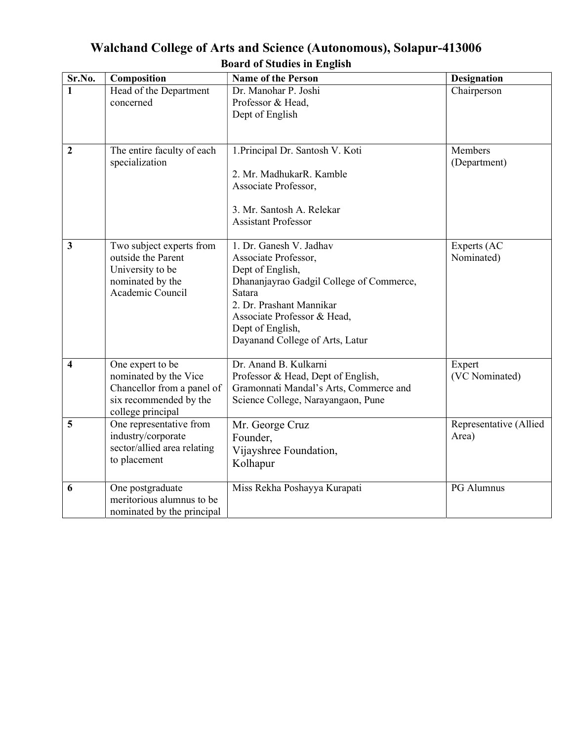| Sr.No.           | Composition                                                                                                            | <b>Name of the Person</b>                                                                                                                                                                                                                   | <b>Designation</b>              |
|------------------|------------------------------------------------------------------------------------------------------------------------|---------------------------------------------------------------------------------------------------------------------------------------------------------------------------------------------------------------------------------------------|---------------------------------|
| 1                | Head of the Department<br>concerned                                                                                    | Dr. Manohar P. Joshi<br>Professor & Head,<br>Dept of English                                                                                                                                                                                | Chairperson                     |
| $\boldsymbol{2}$ | The entire faculty of each<br>specialization                                                                           | 1. Principal Dr. Santosh V. Koti<br>2. Mr. MadhukarR. Kamble<br>Associate Professor,<br>3. Mr. Santosh A. Relekar<br><b>Assistant Professor</b>                                                                                             | Members<br>(Department)         |
| $\mathbf{3}$     | Two subject experts from<br>outside the Parent<br>University to be<br>nominated by the<br>Academic Council             | 1. Dr. Ganesh V. Jadhav<br>Associate Professor,<br>Dept of English,<br>Dhananjayrao Gadgil College of Commerce,<br>Satara<br>2. Dr. Prashant Mannikar<br>Associate Professor & Head,<br>Dept of English,<br>Dayanand College of Arts, Latur | Experts (AC<br>Nominated)       |
| 4                | One expert to be<br>nominated by the Vice<br>Chancellor from a panel of<br>six recommended by the<br>college principal | Dr. Anand B. Kulkarni<br>Professor & Head, Dept of English,<br>Gramonnati Mandal's Arts, Commerce and<br>Science College, Narayangaon, Pune                                                                                                 | Expert<br>(VC Nominated)        |
| 5                | One representative from<br>industry/corporate<br>sector/allied area relating<br>to placement                           | Mr. George Cruz<br>Founder,<br>Vijayshree Foundation,<br>Kolhapur                                                                                                                                                                           | Representative (Allied<br>Area) |
| 6                | One postgraduate<br>meritorious alumnus to be<br>nominated by the principal                                            | Miss Rekha Poshayya Kurapati                                                                                                                                                                                                                | PG Alumnus                      |

## Walchand College of Arts and Science (Autonomous), Solapur-413006 Board of Studies in English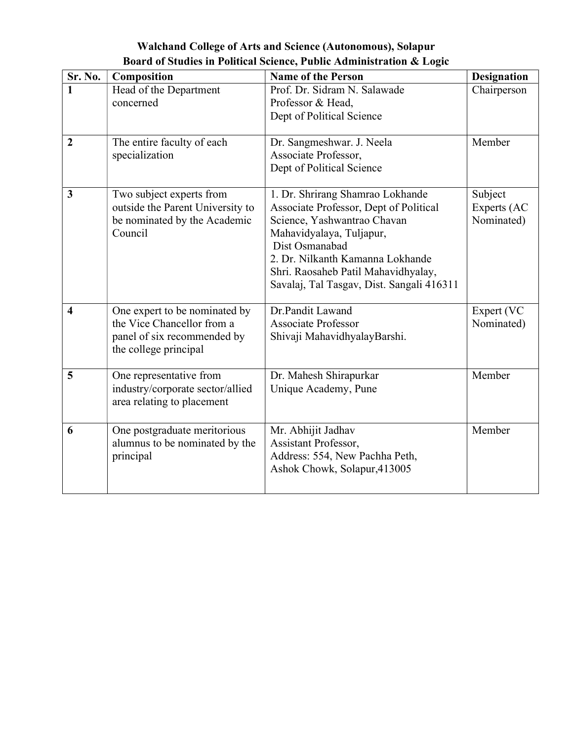|  | Walchand College of Arts and Science (Autonomous), Solapur           |
|--|----------------------------------------------------------------------|
|  | Board of Studies in Political Science, Public Administration & Logic |
|  |                                                                      |

| Sr. No.                 | Composition                                                                                                         | <b>Name of the Person</b>                                                                                                                                                                                                                                                       | Designation                          |
|-------------------------|---------------------------------------------------------------------------------------------------------------------|---------------------------------------------------------------------------------------------------------------------------------------------------------------------------------------------------------------------------------------------------------------------------------|--------------------------------------|
|                         | Head of the Department<br>concerned                                                                                 | Prof. Dr. Sidram N. Salawade<br>Professor & Head,<br>Dept of Political Science                                                                                                                                                                                                  | Chairperson                          |
| $\overline{2}$          | The entire faculty of each<br>specialization                                                                        | Dr. Sangmeshwar. J. Neela<br>Associate Professor,<br>Dept of Political Science                                                                                                                                                                                                  | Member                               |
| 3                       | Two subject experts from<br>outside the Parent University to<br>be nominated by the Academic<br>Council             | 1. Dr. Shrirang Shamrao Lokhande<br>Associate Professor, Dept of Political<br>Science, Yashwantrao Chavan<br>Mahavidyalaya, Tuljapur,<br>Dist Osmanabad<br>2. Dr. Nilkanth Kamanna Lokhande<br>Shri. Raosaheb Patil Mahavidhyalay,<br>Savalaj, Tal Tasgav, Dist. Sangali 416311 | Subject<br>Experts (AC<br>Nominated) |
| $\overline{\mathbf{4}}$ | One expert to be nominated by<br>the Vice Chancellor from a<br>panel of six recommended by<br>the college principal | Dr.Pandit Lawand<br><b>Associate Professor</b><br>Shivaji MahavidhyalayBarshi.                                                                                                                                                                                                  | Expert (VC<br>Nominated)             |
| 5                       | One representative from<br>industry/corporate sector/allied<br>area relating to placement                           | Dr. Mahesh Shirapurkar<br>Unique Academy, Pune                                                                                                                                                                                                                                  | Member                               |
| 6                       | One postgraduate meritorious<br>alumnus to be nominated by the<br>principal                                         | Mr. Abhijit Jadhav<br>Assistant Professor,<br>Address: 554, New Pachha Peth,<br>Ashok Chowk, Solapur, 413005                                                                                                                                                                    | Member                               |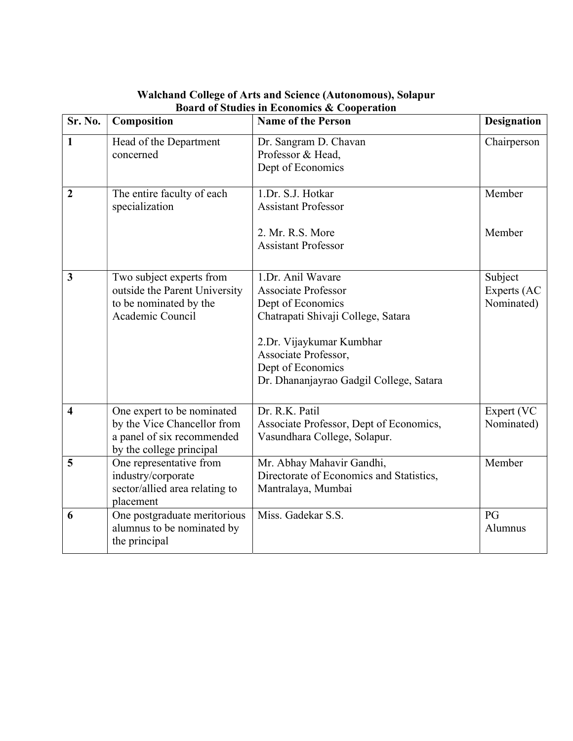| Sr. No.                 | Composition                                                                                                         | <b>Name of the Person</b>                                                                                                                                                                                                      | <b>Designation</b>                   |
|-------------------------|---------------------------------------------------------------------------------------------------------------------|--------------------------------------------------------------------------------------------------------------------------------------------------------------------------------------------------------------------------------|--------------------------------------|
| $\mathbf{1}$            | Head of the Department<br>concerned                                                                                 | Dr. Sangram D. Chavan<br>Professor & Head,<br>Dept of Economics                                                                                                                                                                | Chairperson                          |
| $\overline{2}$          | The entire faculty of each<br>specialization                                                                        | 1.Dr. S.J. Hotkar<br><b>Assistant Professor</b><br>2. Mr. R.S. More<br><b>Assistant Professor</b>                                                                                                                              | Member<br>Member                     |
| 3                       | Two subject experts from<br>outside the Parent University<br>to be nominated by the<br>Academic Council             | 1.Dr. Anil Wavare<br><b>Associate Professor</b><br>Dept of Economics<br>Chatrapati Shivaji College, Satara<br>2.Dr. Vijaykumar Kumbhar<br>Associate Professor,<br>Dept of Economics<br>Dr. Dhananjayrao Gadgil College, Satara | Subject<br>Experts (AC<br>Nominated) |
| $\overline{\mathbf{4}}$ | One expert to be nominated<br>by the Vice Chancellor from<br>a panel of six recommended<br>by the college principal | Dr. R.K. Patil<br>Associate Professor, Dept of Economics,<br>Vasundhara College, Solapur.                                                                                                                                      | Expert (VC<br>Nominated)             |
| 5                       | One representative from<br>industry/corporate<br>sector/allied area relating to<br>placement                        | Mr. Abhay Mahavir Gandhi,<br>Directorate of Economics and Statistics,<br>Mantralaya, Mumbai                                                                                                                                    | Member                               |
| 6                       | One postgraduate meritorious<br>alumnus to be nominated by<br>the principal                                         | Miss. Gadekar S.S.                                                                                                                                                                                                             | PG<br>Alumnus                        |

#### Walchand College of Arts and Science (Autonomous), Solapur Board of Studies in Economics & Cooperation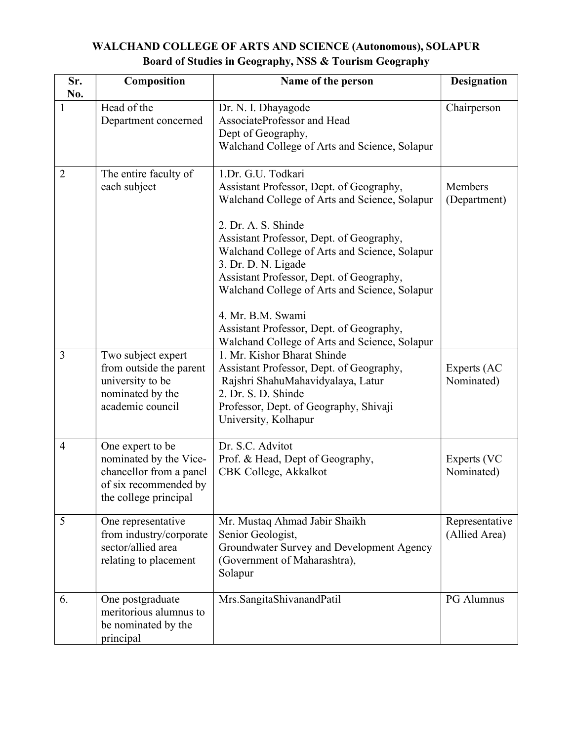## WALCHAND COLLEGE OF ARTS AND SCIENCE (Autonomous), SOLAPUR Board of Studies in Geography, NSS & Tourism Geography

| Sr.<br>No.     | Composition                                                                                                             | Name of the person                                                                                                                                                                                                                                                                                                                                                                                                                                                        | <b>Designation</b>              |
|----------------|-------------------------------------------------------------------------------------------------------------------------|---------------------------------------------------------------------------------------------------------------------------------------------------------------------------------------------------------------------------------------------------------------------------------------------------------------------------------------------------------------------------------------------------------------------------------------------------------------------------|---------------------------------|
| 1              | Head of the<br>Department concerned                                                                                     | Dr. N. I. Dhayagode<br>AssociateProfessor and Head<br>Dept of Geography,<br>Walchand College of Arts and Science, Solapur                                                                                                                                                                                                                                                                                                                                                 | Chairperson                     |
| $\overline{2}$ | The entire faculty of<br>each subject                                                                                   | 1.Dr. G.U. Todkari<br>Assistant Professor, Dept. of Geography,<br>Walchand College of Arts and Science, Solapur<br>2. Dr. A. S. Shinde<br>Assistant Professor, Dept. of Geography,<br>Walchand College of Arts and Science, Solapur<br>3. Dr. D. N. Ligade<br>Assistant Professor, Dept. of Geography,<br>Walchand College of Arts and Science, Solapur<br>4. Mr. B.M. Swami<br>Assistant Professor, Dept. of Geography,<br>Walchand College of Arts and Science, Solapur | Members<br>(Department)         |
| 3              | Two subject expert<br>from outside the parent<br>university to be<br>nominated by the<br>academic council               | 1. Mr. Kishor Bharat Shinde<br>Assistant Professor, Dept. of Geography,<br>Rajshri ShahuMahavidyalaya, Latur<br>2. Dr. S. D. Shinde<br>Professor, Dept. of Geography, Shivaji<br>University, Kolhapur                                                                                                                                                                                                                                                                     | Experts (AC<br>Nominated)       |
| $\overline{4}$ | One expert to be<br>nominated by the Vice-<br>chancellor from a panel<br>of six recommended by<br>the college principal | Dr. S.C. Advitot<br>Prof. & Head, Dept of Geography,<br>CBK College, Akkalkot                                                                                                                                                                                                                                                                                                                                                                                             | Experts (VC<br>Nominated)       |
| 5              | One representative<br>from industry/corporate<br>sector/allied area<br>relating to placement                            | Mr. Mustaq Ahmad Jabir Shaikh<br>Senior Geologist,<br>Groundwater Survey and Development Agency<br>(Government of Maharashtra),<br>Solapur                                                                                                                                                                                                                                                                                                                                | Representative<br>(Allied Area) |
| 6.             | One postgraduate<br>meritorious alumnus to<br>be nominated by the<br>principal                                          | Mrs.SangitaShivanandPatil                                                                                                                                                                                                                                                                                                                                                                                                                                                 | PG Alumnus                      |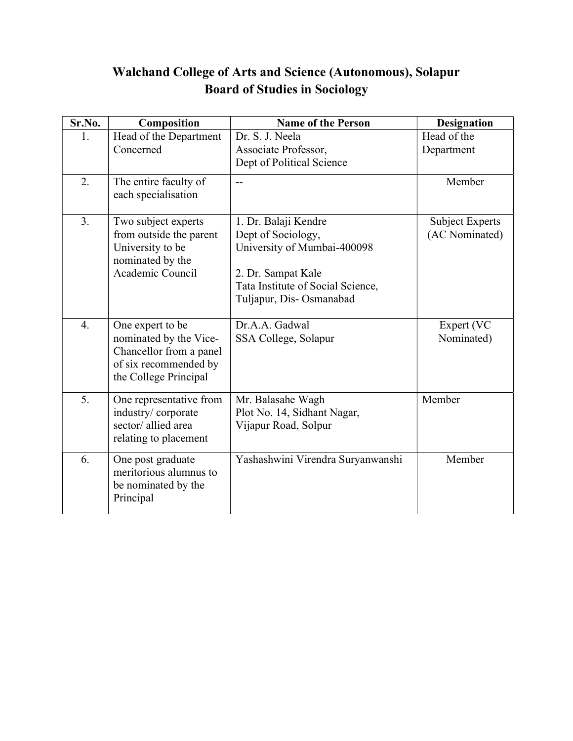# Walchand College of Arts and Science (Autonomous), Solapur Board of Studies in Sociology

| Sr.No.           | Composition                                                                                                             | <b>Name of the Person</b>                                                                                                                                       | <b>Designation</b>                       |
|------------------|-------------------------------------------------------------------------------------------------------------------------|-----------------------------------------------------------------------------------------------------------------------------------------------------------------|------------------------------------------|
| 1.               | Head of the Department<br>Concerned                                                                                     | Dr. S. J. Neela<br>Associate Professor,<br>Dept of Political Science                                                                                            | Head of the<br>Department                |
| 2.               | The entire faculty of<br>each specialisation                                                                            | $-$                                                                                                                                                             | Member                                   |
| 3.               | Two subject experts<br>from outside the parent<br>University to be<br>nominated by the<br>Academic Council              | 1. Dr. Balaji Kendre<br>Dept of Sociology,<br>University of Mumbai-400098<br>2. Dr. Sampat Kale<br>Tata Institute of Social Science,<br>Tuljapur, Dis-Osmanabad | <b>Subject Experts</b><br>(AC Nominated) |
| $\overline{4}$ . | One expert to be<br>nominated by the Vice-<br>Chancellor from a panel<br>of six recommended by<br>the College Principal | Dr.A.A. Gadwal<br>SSA College, Solapur                                                                                                                          | Expert (VC<br>Nominated)                 |
| 5.               | One representative from<br>industry/corporate<br>sector/allied area<br>relating to placement                            | Mr. Balasahe Wagh<br>Plot No. 14, Sidhant Nagar,<br>Vijapur Road, Solpur                                                                                        | Member                                   |
| 6.               | One post graduate<br>meritorious alumnus to<br>be nominated by the<br>Principal                                         | Yashashwini Virendra Suryanwanshi                                                                                                                               | Member                                   |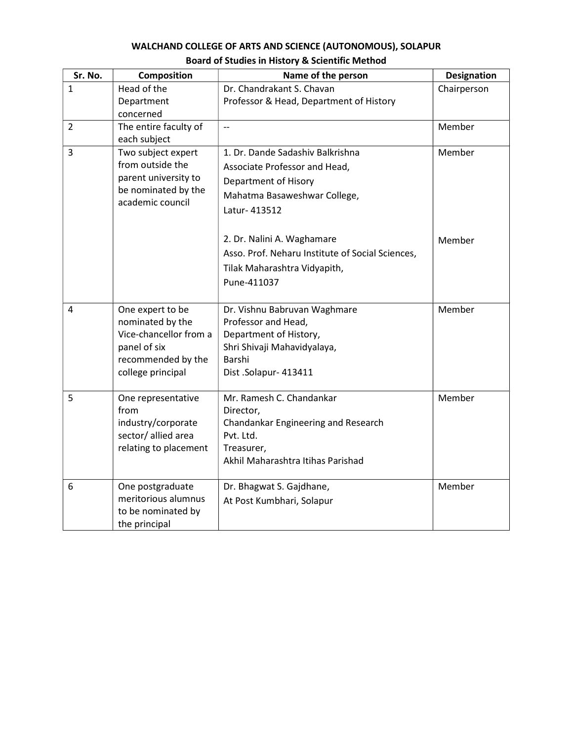### WALCHAND COLLEGE OF ARTS AND SCIENCE (AUTONOMOUS), SOLAPUR Board of Studies in History & Scientific Method

| Sr. No.        | Composition                                                                                                               | Name of the person                                                                                                                              | Designation |
|----------------|---------------------------------------------------------------------------------------------------------------------------|-------------------------------------------------------------------------------------------------------------------------------------------------|-------------|
| 1              | Head of the<br>Department<br>concerned                                                                                    | Dr. Chandrakant S. Chavan<br>Professor & Head, Department of History                                                                            | Chairperson |
| $\overline{2}$ | The entire faculty of<br>each subject                                                                                     | $\overline{\phantom{a}}$                                                                                                                        | Member      |
| $\overline{3}$ | Two subject expert<br>from outside the<br>parent university to<br>be nominated by the<br>academic council                 | 1. Dr. Dande Sadashiv Balkrishna<br>Associate Professor and Head,<br>Department of Hisory<br>Mahatma Basaweshwar College,<br>Latur- 413512      | Member      |
|                |                                                                                                                           | 2. Dr. Nalini A. Waghamare<br>Asso. Prof. Neharu Institute of Social Sciences,<br>Tilak Maharashtra Vidyapith,<br>Pune-411037                   | Member      |
| 4              | One expert to be<br>nominated by the<br>Vice-chancellor from a<br>panel of six<br>recommended by the<br>college principal | Dr. Vishnu Babruvan Waghmare<br>Professor and Head,<br>Department of History,<br>Shri Shivaji Mahavidyalaya,<br>Barshi<br>Dist .Solapur- 413411 | Member      |
| 5              | One representative<br>from<br>industry/corporate<br>sector/allied area<br>relating to placement                           | Mr. Ramesh C. Chandankar<br>Director,<br>Chandankar Engineering and Research<br>Pvt. Ltd.<br>Treasurer,<br>Akhil Maharashtra Itihas Parishad    | Member      |
| 6              | One postgraduate<br>meritorious alumnus<br>to be nominated by<br>the principal                                            | Dr. Bhagwat S. Gajdhane,<br>At Post Kumbhari, Solapur                                                                                           | Member      |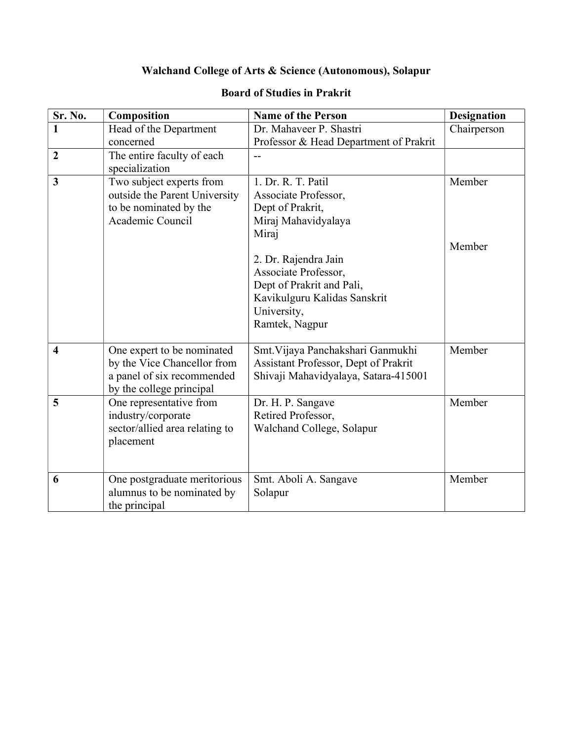## Walchand College of Arts & Science (Autonomous), Solapur

| Sr. No.                 | Composition                                            | <b>Name of the Person</b>              | <b>Designation</b> |
|-------------------------|--------------------------------------------------------|----------------------------------------|--------------------|
| $\mathbf{1}$            | Head of the Department                                 | Dr. Mahaveer P. Shastri                | Chairperson        |
|                         | concerned                                              | Professor & Head Department of Prakrit |                    |
| $\boldsymbol{2}$        | The entire faculty of each                             |                                        |                    |
|                         | specialization                                         |                                        |                    |
| $\overline{\mathbf{3}}$ | Two subject experts from                               | 1. Dr. R. T. Patil                     | Member             |
|                         | outside the Parent University                          | Associate Professor,                   |                    |
|                         | to be nominated by the                                 | Dept of Prakrit,                       |                    |
|                         | Academic Council                                       | Miraj Mahavidyalaya                    |                    |
|                         |                                                        | Miraj                                  |                    |
|                         |                                                        |                                        | Member             |
|                         |                                                        | 2. Dr. Rajendra Jain                   |                    |
|                         |                                                        | Associate Professor,                   |                    |
|                         |                                                        | Dept of Prakrit and Pali,              |                    |
|                         |                                                        | Kavikulguru Kalidas Sanskrit           |                    |
|                         |                                                        | University,                            |                    |
|                         |                                                        | Ramtek, Nagpur                         |                    |
|                         |                                                        |                                        |                    |
| $\overline{\mathbf{4}}$ | One expert to be nominated                             | Smt. Vijaya Panchakshari Ganmukhi      | Member             |
|                         | by the Vice Chancellor from                            | Assistant Professor, Dept of Prakrit   |                    |
|                         | a panel of six recommended<br>by the college principal | Shivaji Mahavidyalaya, Satara-415001   |                    |
| 5                       | One representative from                                | Dr. H. P. Sangave                      | Member             |
|                         | industry/corporate                                     | Retired Professor,                     |                    |
|                         | sector/allied area relating to                         | Walchand College, Solapur              |                    |
|                         | placement                                              |                                        |                    |
|                         |                                                        |                                        |                    |
|                         |                                                        |                                        |                    |
| 6                       | One postgraduate meritorious                           | Smt. Aboli A. Sangave                  | Member             |
|                         | alumnus to be nominated by                             | Solapur                                |                    |
|                         | the principal                                          |                                        |                    |

### Board of Studies in Prakrit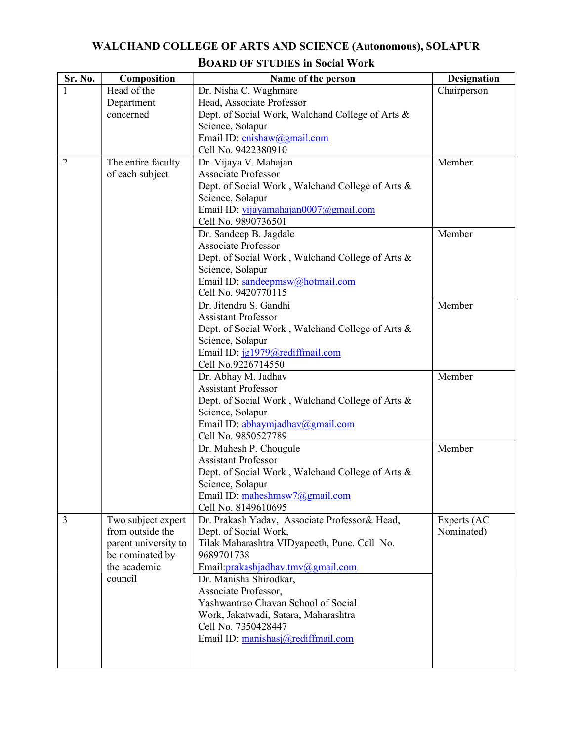### WALCHAND COLLEGE OF ARTS AND SCIENCE (Autonomous), SOLAPUR BOARD OF STUDIES in Social Work

| Sr. No.        | Composition                     | Name of the person                               | <b>Designation</b> |
|----------------|---------------------------------|--------------------------------------------------|--------------------|
|                | Head of the                     | Dr. Nisha C. Waghmare                            | Chairperson        |
|                | Department                      | Head, Associate Professor                        |                    |
|                | concerned                       | Dept. of Social Work, Walchand College of Arts & |                    |
|                |                                 | Science, Solapur                                 |                    |
|                |                                 | Email ID: cnishaw@gmail.com                      |                    |
|                |                                 | Cell No. 9422380910                              |                    |
| $\overline{2}$ | The entire faculty              | Dr. Vijaya V. Mahajan                            | Member             |
|                | of each subject                 | <b>Associate Professor</b>                       |                    |
|                |                                 | Dept. of Social Work, Walchand College of Arts & |                    |
|                |                                 | Science, Solapur                                 |                    |
|                |                                 | Email ID: vijayamahajan0007@gmail.com            |                    |
|                |                                 | Cell No. 9890736501                              |                    |
|                |                                 | Dr. Sandeep B. Jagdale                           | Member             |
|                |                                 | Associate Professor                              |                    |
|                |                                 | Dept. of Social Work, Walchand College of Arts & |                    |
|                |                                 | Science, Solapur                                 |                    |
|                |                                 | Email ID: sandeepmsw@hotmail.com                 |                    |
|                |                                 | Cell No. 9420770115<br>Dr. Jitendra S. Gandhi    |                    |
|                |                                 | <b>Assistant Professor</b>                       | Member             |
|                |                                 | Dept. of Social Work, Walchand College of Arts & |                    |
|                |                                 | Science, Solapur                                 |                    |
|                |                                 | Email ID: jg1979@rediffmail.com                  |                    |
|                |                                 | Cell No.9226714550                               |                    |
|                |                                 | Dr. Abhay M. Jadhav                              | Member             |
|                |                                 | <b>Assistant Professor</b>                       |                    |
|                |                                 | Dept. of Social Work, Walchand College of Arts & |                    |
|                |                                 | Science, Solapur                                 |                    |
|                |                                 | Email ID: abhaymjadhav@gmail.com                 |                    |
|                |                                 | Cell No. 9850527789                              |                    |
|                |                                 | Dr. Mahesh P. Chougule                           | Member             |
|                |                                 | <b>Assistant Professor</b>                       |                    |
|                |                                 | Dept. of Social Work, Walchand College of Arts & |                    |
|                |                                 | Science, Solapur                                 |                    |
|                |                                 | Email ID: maheshmsw7@gmail.com                   |                    |
|                |                                 | Cell No. 8149610695                              |                    |
| $\overline{3}$ | Two subject expert              | Dr. Prakash Yadav, Associate Professor& Head,    | Experts (AC        |
|                | from outside the                | Dept. of Social Work,                            | Nominated)         |
|                | parent university to            | Tilak Maharashtra VIDyapeeth, Pune. Cell No.     |                    |
|                | be nominated by<br>the academic | 9689701738                                       |                    |
|                | council                         | Email: prakashjadhav.tmv@gmail.com               |                    |
|                |                                 | Dr. Manisha Shirodkar,<br>Associate Professor,   |                    |
|                |                                 | Yashwantrao Chavan School of Social              |                    |
|                |                                 | Work, Jakatwadi, Satara, Maharashtra             |                    |
|                |                                 | Cell No. 7350428447                              |                    |
|                |                                 | Email ID: manishasj@rediffmail.com               |                    |
|                |                                 |                                                  |                    |
|                |                                 |                                                  |                    |